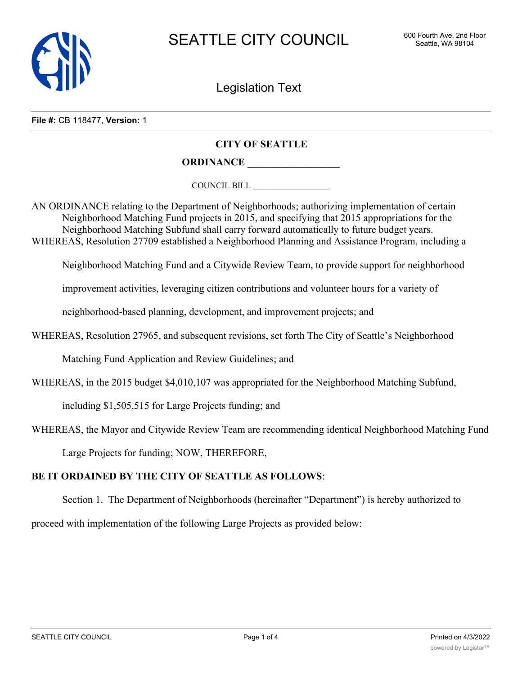

Legislation Text

**File #:** CB 118477, **Version:** 1

## **CITY OF SEATTLE**

**ORDINANCE \_\_\_\_\_\_\_\_\_\_\_\_\_\_\_\_\_\_**

COUNCIL BILL \_\_\_\_\_\_\_\_\_\_\_\_\_\_\_\_\_\_

AN ORDINANCE relating to the Department of Neighborhoods; authorizing implementation of certain Neighborhood Matching Fund projects in 2015, and specifying that 2015 appropriations for the Neighborhood Matching Subfund shall carry forward automatically to future budget years. WHEREAS, Resolution 27709 established a Neighborhood Planning and Assistance Program, including a

Neighborhood Matching Fund and a Citywide Review Team, to provide support for neighborhood

improvement activities, leveraging citizen contributions and volunteer hours for a variety of

neighborhood-based planning, development, and improvement projects; and

WHEREAS, Resolution 27965, and subsequent revisions, set forth The City of Seattle's Neighborhood

Matching Fund Application and Review Guidelines; and

WHEREAS, in the 2015 budget \$4,010,107 was appropriated for the Neighborhood Matching Subfund,

including \$1,505,515 for Large Projects funding; and

WHEREAS, the Mayor and Citywide Review Team are recommending identical Neighborhood Matching Fund

Large Projects for funding; NOW, THEREFORE,

## **BE IT ORDAINED BY THE CITY OF SEATTLE AS FOLLOWS**:

Section 1. The Department of Neighborhoods (hereinafter "Department") is hereby authorized to

proceed with implementation of the following Large Projects as provided below:

<del>NMF Fundation</del>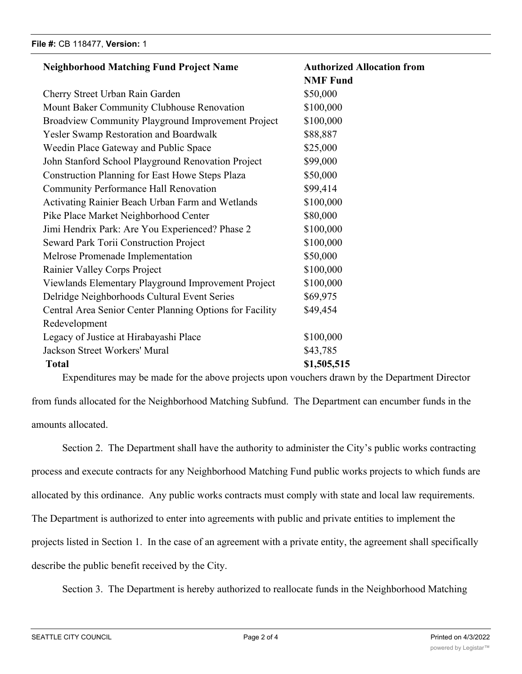| <b>Neighborhood Matching Fund Project Name</b>           | <b>Authorized Allocation from</b> |  |
|----------------------------------------------------------|-----------------------------------|--|
|                                                          | <b>NMF Fund</b>                   |  |
| Cherry Street Urban Rain Garden                          | \$50,000                          |  |
| Mount Baker Community Clubhouse Renovation               | \$100,000                         |  |
| Broadview Community Playground Improvement Project       | \$100,000                         |  |
| Yesler Swamp Restoration and Boardwalk                   | \$88,887                          |  |
| Weedin Place Gateway and Public Space                    | \$25,000                          |  |
| John Stanford School Playground Renovation Project       | \$99,000                          |  |
| <b>Construction Planning for East Howe Steps Plaza</b>   | \$50,000                          |  |
| <b>Community Performance Hall Renovation</b>             | \$99,414                          |  |
| Activating Rainier Beach Urban Farm and Wetlands         | \$100,000                         |  |
| Pike Place Market Neighborhood Center                    | \$80,000                          |  |
| Jimi Hendrix Park: Are You Experienced? Phase 2          | \$100,000                         |  |
| <b>Seward Park Torii Construction Project</b>            | \$100,000                         |  |
| Melrose Promenade Implementation                         | \$50,000                          |  |
| Rainier Valley Corps Project                             | \$100,000                         |  |
| Viewlands Elementary Playground Improvement Project      | \$100,000                         |  |
| Delridge Neighborhoods Cultural Event Series             | \$69,975                          |  |
| Central Area Senior Center Planning Options for Facility | \$49,454                          |  |
| Redevelopment                                            |                                   |  |
| Legacy of Justice at Hirabayashi Place                   | \$100,000                         |  |
| Jackson Street Workers' Mural                            | \$43,785                          |  |
| <b>Total</b>                                             | \$1,505,515                       |  |

Expenditures may be made for the above projects upon vouchers drawn by the Department Director

from funds allocated for the Neighborhood Matching Subfund. The Department can encumber funds in the amounts allocated.

Section 2. The Department shall have the authority to administer the City's public works contracting process and execute contracts for any Neighborhood Matching Fund public works projects to which funds are allocated by this ordinance. Any public works contracts must comply with state and local law requirements. The Department is authorized to enter into agreements with public and private entities to implement the projects listed in Section 1. In the case of an agreement with a private entity, the agreement shall specifically describe the public benefit received by the City.

Section 3. The Department is hereby authorized to reallocate funds in the Neighborhood Matching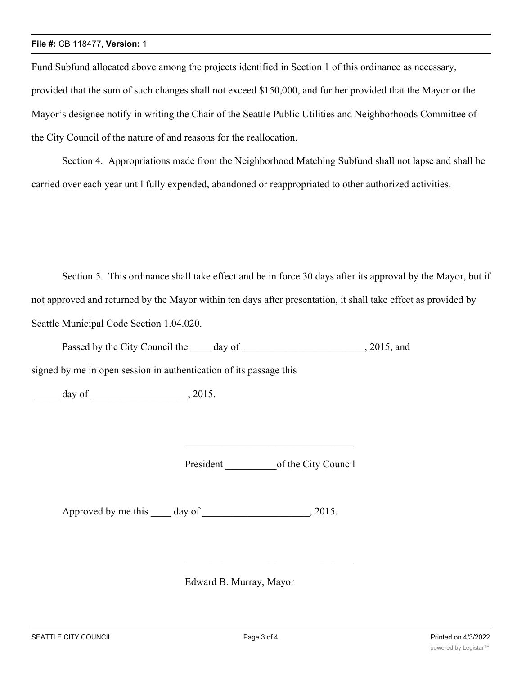## **File #:** CB 118477, **Version:** 1

Fund Subfund allocated above among the projects identified in Section 1 of this ordinance as necessary, provided that the sum of such changes shall not exceed \$150,000, and further provided that the Mayor or the Mayor's designee notify in writing the Chair of the Seattle Public Utilities and Neighborhoods Committee of the City Council of the nature of and reasons for the reallocation.

Section 4. Appropriations made from the Neighborhood Matching Subfund shall not lapse and shall be carried over each year until fully expended, abandoned or reappropriated to other authorized activities.

Section 5. This ordinance shall take effect and be in force 30 days after its approval by the Mayor, but if not approved and returned by the Mayor within ten days after presentation, it shall take effect as provided by Seattle Municipal Code Section 1.04.020.

| Passed by the City Council the | dav ot | 2015, and |
|--------------------------------|--------|-----------|
|--------------------------------|--------|-----------|

signed by me in open session in authentication of its passage this

 $\frac{1}{2015}$  day of  $\frac{1}{2015}$ 

President of the City Council

Approved by me this \_\_\_\_\_ day of \_\_\_\_\_\_\_\_\_\_\_\_\_\_\_\_\_\_\_\_\_\_\_\_, 2015.

Edward B. Murray, Mayor